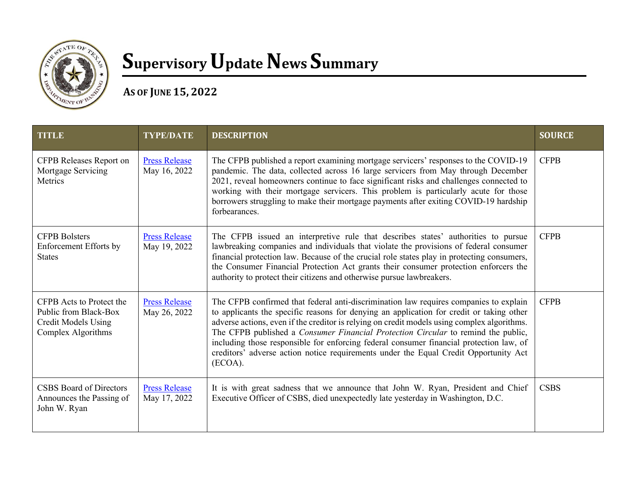

## **Supervisory Update News Summary**

**AS OF JUNE 15, 2022** 

| <b>TITLE</b>                                                                                          | <b>TYPE/DATE</b>                     | <b>DESCRIPTION</b>                                                                                                                                                                                                                                                                                                                                                                                                                                                                                                                                                  | <b>SOURCE</b> |
|-------------------------------------------------------------------------------------------------------|--------------------------------------|---------------------------------------------------------------------------------------------------------------------------------------------------------------------------------------------------------------------------------------------------------------------------------------------------------------------------------------------------------------------------------------------------------------------------------------------------------------------------------------------------------------------------------------------------------------------|---------------|
| CFPB Releases Report on<br>Mortgage Servicing<br>Metrics                                              | <b>Press Release</b><br>May 16, 2022 | The CFPB published a report examining mortgage servicers' responses to the COVID-19<br>pandemic. The data, collected across 16 large servicers from May through December<br>2021, reveal homeowners continue to face significant risks and challenges connected to<br>working with their mortgage servicers. This problem is particularly acute for those<br>borrowers struggling to make their mortgage payments after exiting COVID-19 hardship<br>forbearances.                                                                                                  | <b>CFPB</b>   |
| <b>CFPB Bolsters</b><br>Enforcement Efforts by<br><b>States</b>                                       | <b>Press Release</b><br>May 19, 2022 | The CFPB issued an interpretive rule that describes states' authorities to pursue<br>lawbreaking companies and individuals that violate the provisions of federal consumer<br>financial protection law. Because of the crucial role states play in protecting consumers,<br>the Consumer Financial Protection Act grants their consumer protection enforcers the<br>authority to protect their citizens and otherwise pursue lawbreakers.                                                                                                                           | <b>CFPB</b>   |
| CFPB Acts to Protect the<br>Public from Black-Box<br><b>Credit Models Using</b><br>Complex Algorithms | <b>Press Release</b><br>May 26, 2022 | The CFPB confirmed that federal anti-discrimination law requires companies to explain<br>to applicants the specific reasons for denying an application for credit or taking other<br>adverse actions, even if the creditor is relying on credit models using complex algorithms.<br>The CFPB published a Consumer Financial Protection Circular to remind the public,<br>including those responsible for enforcing federal consumer financial protection law, of<br>creditors' adverse action notice requirements under the Equal Credit Opportunity Act<br>(ECOA). | <b>CFPB</b>   |
| <b>CSBS</b> Board of Directors<br>Announces the Passing of<br>John W. Ryan                            | <b>Press Release</b><br>May 17, 2022 | It is with great sadness that we announce that John W. Ryan, President and Chief<br>Executive Officer of CSBS, died unexpectedly late yesterday in Washington, D.C.                                                                                                                                                                                                                                                                                                                                                                                                 | <b>CSBS</b>   |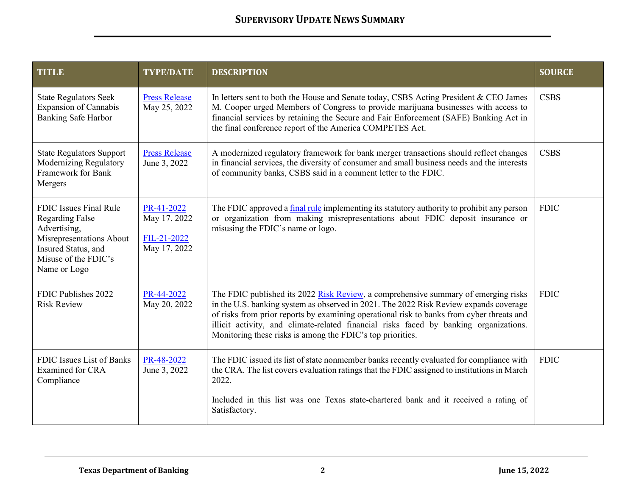| <b>TITLE</b>                                                                                                                                                | <b>TYPE/DATE</b>                                          | <b>DESCRIPTION</b>                                                                                                                                                                                                                                                                                                                                                                                                              | <b>SOURCE</b> |
|-------------------------------------------------------------------------------------------------------------------------------------------------------------|-----------------------------------------------------------|---------------------------------------------------------------------------------------------------------------------------------------------------------------------------------------------------------------------------------------------------------------------------------------------------------------------------------------------------------------------------------------------------------------------------------|---------------|
| <b>State Regulators Seek</b><br><b>Expansion of Cannabis</b><br><b>Banking Safe Harbor</b>                                                                  | <b>Press Release</b><br>May 25, 2022                      | In letters sent to both the House and Senate today, CSBS Acting President & CEO James<br>M. Cooper urged Members of Congress to provide marijuana businesses with access to<br>financial services by retaining the Secure and Fair Enforcement (SAFE) Banking Act in<br>the final conference report of the America COMPETES Act.                                                                                                | <b>CSBS</b>   |
| <b>State Regulators Support</b><br>Modernizing Regulatory<br>Framework for Bank<br>Mergers                                                                  | <b>Press Release</b><br>June 3, 2022                      | A modernized regulatory framework for bank merger transactions should reflect changes<br>in financial services, the diversity of consumer and small business needs and the interests<br>of community banks, CSBS said in a comment letter to the FDIC.                                                                                                                                                                          | <b>CSBS</b>   |
| FDIC Issues Final Rule<br><b>Regarding False</b><br>Advertising,<br>Misrepresentations About<br>Insured Status, and<br>Misuse of the FDIC's<br>Name or Logo | PR-41-2022<br>May 17, 2022<br>FIL-21-2022<br>May 17, 2022 | The FDIC approved a final rule implementing its statutory authority to prohibit any person<br>or organization from making misrepresentations about FDIC deposit insurance or<br>misusing the FDIC's name or logo.                                                                                                                                                                                                               | <b>FDIC</b>   |
| FDIC Publishes 2022<br><b>Risk Review</b>                                                                                                                   | PR-44-2022<br>May 20, 2022                                | The FDIC published its 2022 Risk Review, a comprehensive summary of emerging risks<br>in the U.S. banking system as observed in 2021. The 2022 Risk Review expands coverage<br>of risks from prior reports by examining operational risk to banks from cyber threats and<br>illicit activity, and climate-related financial risks faced by banking organizations.<br>Monitoring these risks is among the FDIC's top priorities. | <b>FDIC</b>   |
| FDIC Issues List of Banks<br>Examined for CRA<br>Compliance                                                                                                 | PR-48-2022<br>June 3, 2022                                | The FDIC issued its list of state nonmember banks recently evaluated for compliance with<br>the CRA. The list covers evaluation ratings that the FDIC assigned to institutions in March<br>2022.                                                                                                                                                                                                                                | <b>FDIC</b>   |
|                                                                                                                                                             |                                                           | Included in this list was one Texas state-chartered bank and it received a rating of<br>Satisfactory.                                                                                                                                                                                                                                                                                                                           |               |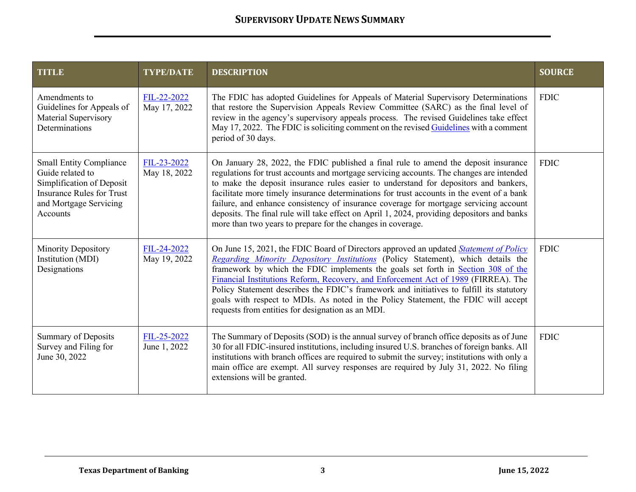| <b>TITLE</b>                                                                                                                                              | <b>TYPE/DATE</b>            | <b>DESCRIPTION</b>                                                                                                                                                                                                                                                                                                                                                                                                                                                                                                                                                                                                         | <b>SOURCE</b> |
|-----------------------------------------------------------------------------------------------------------------------------------------------------------|-----------------------------|----------------------------------------------------------------------------------------------------------------------------------------------------------------------------------------------------------------------------------------------------------------------------------------------------------------------------------------------------------------------------------------------------------------------------------------------------------------------------------------------------------------------------------------------------------------------------------------------------------------------------|---------------|
| Amendments to<br>Guidelines for Appeals of<br>Material Supervisory<br>Determinations                                                                      | FIL-22-2022<br>May 17, 2022 | The FDIC has adopted Guidelines for Appeals of Material Supervisory Determinations<br>that restore the Supervision Appeals Review Committee (SARC) as the final level of<br>review in the agency's supervisory appeals process. The revised Guidelines take effect<br>May 17, 2022. The FDIC is soliciting comment on the revised Guidelines with a comment<br>period of 30 days.                                                                                                                                                                                                                                          | <b>FDIC</b>   |
| <b>Small Entity Compliance</b><br>Guide related to<br>Simplification of Deposit<br><b>Insurance Rules for Trust</b><br>and Mortgage Servicing<br>Accounts | FIL-23-2022<br>May 18, 2022 | On January 28, 2022, the FDIC published a final rule to amend the deposit insurance<br>regulations for trust accounts and mortgage servicing accounts. The changes are intended<br>to make the deposit insurance rules easier to understand for depositors and bankers,<br>facilitate more timely insurance determinations for trust accounts in the event of a bank<br>failure, and enhance consistency of insurance coverage for mortgage servicing account<br>deposits. The final rule will take effect on April 1, 2024, providing depositors and banks<br>more than two years to prepare for the changes in coverage. | <b>FDIC</b>   |
| Minority Depository<br>Institution (MDI)<br>Designations                                                                                                  | FIL-24-2022<br>May 19, 2022 | On June 15, 2021, the FDIC Board of Directors approved an updated <i>Statement of Policy</i><br>Regarding Minority Depository Institutions (Policy Statement), which details the<br>framework by which the FDIC implements the goals set forth in Section 308 of the<br>Financial Institutions Reform, Recovery, and Enforcement Act of 1989 (FIRREA). The<br>Policy Statement describes the FDIC's framework and initiatives to fulfill its statutory<br>goals with respect to MDIs. As noted in the Policy Statement, the FDIC will accept<br>requests from entities for designation as an MDI.                          | <b>FDIC</b>   |
| Summary of Deposits<br>Survey and Filing for<br>June 30, 2022                                                                                             | FIL-25-2022<br>June 1, 2022 | The Summary of Deposits (SOD) is the annual survey of branch office deposits as of June<br>30 for all FDIC-insured institutions, including insured U.S. branches of foreign banks. All<br>institutions with branch offices are required to submit the survey; institutions with only a<br>main office are exempt. All survey responses are required by July 31, 2022. No filing<br>extensions will be granted.                                                                                                                                                                                                             | <b>FDIC</b>   |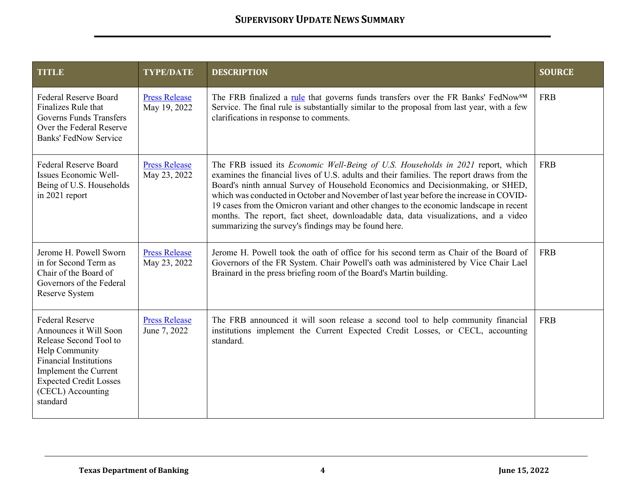| <b>TITLE</b>                                                                                                                                                                                                             | <b>TYPE/DATE</b>                     | <b>DESCRIPTION</b>                                                                                                                                                                                                                                                                                                                                                                                                                                                                                                                                                                                  | <b>SOURCE</b> |
|--------------------------------------------------------------------------------------------------------------------------------------------------------------------------------------------------------------------------|--------------------------------------|-----------------------------------------------------------------------------------------------------------------------------------------------------------------------------------------------------------------------------------------------------------------------------------------------------------------------------------------------------------------------------------------------------------------------------------------------------------------------------------------------------------------------------------------------------------------------------------------------------|---------------|
| <b>Federal Reserve Board</b><br>Finalizes Rule that<br>Governs Funds Transfers<br>Over the Federal Reserve<br><b>Banks' FedNow Service</b>                                                                               | <b>Press Release</b><br>May 19, 2022 | The FRB finalized a rule that governs funds transfers over the FR Banks' FedNow <sup>SM</sup><br>Service. The final rule is substantially similar to the proposal from last year, with a few<br>clarifications in response to comments.                                                                                                                                                                                                                                                                                                                                                             | <b>FRB</b>    |
| <b>Federal Reserve Board</b><br>Issues Economic Well-<br>Being of U.S. Households<br>in 2021 report                                                                                                                      | <b>Press Release</b><br>May 23, 2022 | The FRB issued its Economic Well-Being of U.S. Households in 2021 report, which<br>examines the financial lives of U.S. adults and their families. The report draws from the<br>Board's ninth annual Survey of Household Economics and Decisionmaking, or SHED,<br>which was conducted in October and November of last year before the increase in COVID-<br>19 cases from the Omicron variant and other changes to the economic landscape in recent<br>months. The report, fact sheet, downloadable data, data visualizations, and a video<br>summarizing the survey's findings may be found here. | <b>FRB</b>    |
| Jerome H. Powell Sworn<br>in for Second Term as<br>Chair of the Board of<br>Governors of the Federal<br>Reserve System                                                                                                   | <b>Press Release</b><br>May 23, 2022 | Jerome H. Powell took the oath of office for his second term as Chair of the Board of<br>Governors of the FR System. Chair Powell's oath was administered by Vice Chair Lael<br>Brainard in the press briefing room of the Board's Martin building.                                                                                                                                                                                                                                                                                                                                                 | <b>FRB</b>    |
| <b>Federal Reserve</b><br>Announces it Will Soon<br>Release Second Tool to<br>Help Community<br><b>Financial Institutions</b><br>Implement the Current<br><b>Expected Credit Losses</b><br>(CECL) Accounting<br>standard | <b>Press Release</b><br>June 7, 2022 | The FRB announced it will soon release a second tool to help community financial<br>institutions implement the Current Expected Credit Losses, or CECL, accounting<br>standard.                                                                                                                                                                                                                                                                                                                                                                                                                     | <b>FRB</b>    |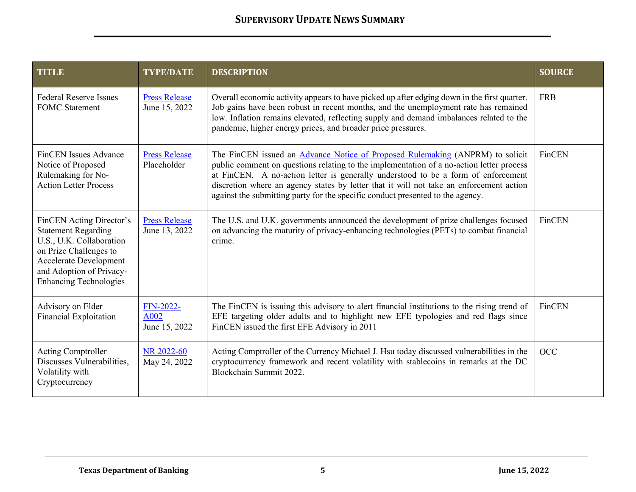| <b>TITLE</b>                                                                                                                                                                                               | <b>TYPE/DATE</b>                      | <b>DESCRIPTION</b>                                                                                                                                                                                                                                                                                                                                                                                                                                 | <b>SOURCE</b> |
|------------------------------------------------------------------------------------------------------------------------------------------------------------------------------------------------------------|---------------------------------------|----------------------------------------------------------------------------------------------------------------------------------------------------------------------------------------------------------------------------------------------------------------------------------------------------------------------------------------------------------------------------------------------------------------------------------------------------|---------------|
| <b>Federal Reserve Issues</b><br><b>FOMC</b> Statement                                                                                                                                                     | <b>Press Release</b><br>June 15, 2022 | Overall economic activity appears to have picked up after edging down in the first quarter.<br>Job gains have been robust in recent months, and the unemployment rate has remained<br>low. Inflation remains elevated, reflecting supply and demand imbalances related to the<br>pandemic, higher energy prices, and broader price pressures.                                                                                                      | <b>FRB</b>    |
| <b>FinCEN</b> Issues Advance<br>Notice of Proposed<br>Rulemaking for No-<br><b>Action Letter Process</b>                                                                                                   | <b>Press Release</b><br>Placeholder   | The FinCEN issued an <b>Advance Notice of Proposed Rulemaking</b> (ANPRM) to solicit<br>public comment on questions relating to the implementation of a no-action letter process<br>at FinCEN. A no-action letter is generally understood to be a form of enforcement<br>discretion where an agency states by letter that it will not take an enforcement action<br>against the submitting party for the specific conduct presented to the agency. | FinCEN        |
| FinCEN Acting Director's<br><b>Statement Regarding</b><br>U.S., U.K. Collaboration<br>on Prize Challenges to<br><b>Accelerate Development</b><br>and Adoption of Privacy-<br><b>Enhancing Technologies</b> | <b>Press Release</b><br>June 13, 2022 | The U.S. and U.K. governments announced the development of prize challenges focused<br>on advancing the maturity of privacy-enhancing technologies (PETs) to combat financial<br>crime.                                                                                                                                                                                                                                                            | FinCEN        |
| Advisory on Elder<br><b>Financial Exploitation</b>                                                                                                                                                         | FIN-2022-<br>A002<br>June 15, 2022    | The FinCEN is issuing this advisory to alert financial institutions to the rising trend of<br>EFE targeting older adults and to highlight new EFE typologies and red flags since<br>FinCEN issued the first EFE Advisory in 2011                                                                                                                                                                                                                   | FinCEN        |
| <b>Acting Comptroller</b><br>Discusses Vulnerabilities,<br>Volatility with<br>Cryptocurrency                                                                                                               | NR 2022-60<br>May 24, 2022            | Acting Comptroller of the Currency Michael J. Hsu today discussed vulnerabilities in the<br>cryptocurrency framework and recent volatility with stablecoins in remarks at the DC<br>Blockchain Summit 2022.                                                                                                                                                                                                                                        | <b>OCC</b>    |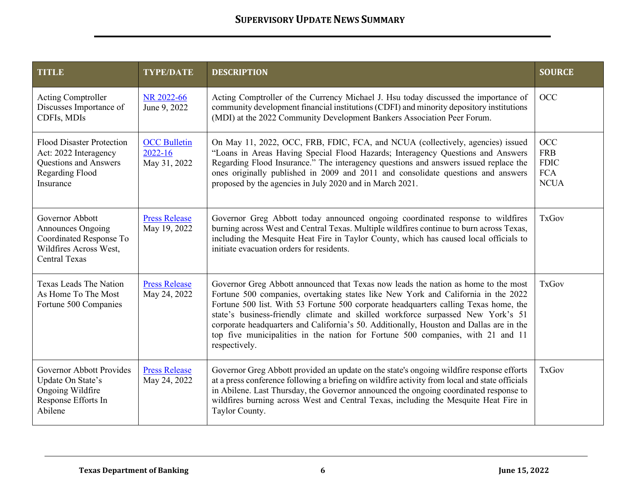| <b>TITLE</b>                                                                                                       | <b>TYPE/DATE</b>                                   | <b>DESCRIPTION</b>                                                                                                                                                                                                                                                                                                                                                                                                                                                                                                                                | <b>SOURCE</b>                                                        |
|--------------------------------------------------------------------------------------------------------------------|----------------------------------------------------|---------------------------------------------------------------------------------------------------------------------------------------------------------------------------------------------------------------------------------------------------------------------------------------------------------------------------------------------------------------------------------------------------------------------------------------------------------------------------------------------------------------------------------------------------|----------------------------------------------------------------------|
| <b>Acting Comptroller</b><br>Discusses Importance of<br>CDFIs, MDIs                                                | NR 2022-66<br>June 9, 2022                         | Acting Comptroller of the Currency Michael J. Hsu today discussed the importance of<br>community development financial institutions (CDFI) and minority depository institutions<br>(MDI) at the 2022 Community Development Bankers Association Peer Forum.                                                                                                                                                                                                                                                                                        | <b>OCC</b>                                                           |
| <b>Flood Disaster Protection</b><br>Act: 2022 Interagency<br>Questions and Answers<br>Regarding Flood<br>Insurance | <b>OCC Bulletin</b><br>$2022 - 16$<br>May 31, 2022 | On May 11, 2022, OCC, FRB, FDIC, FCA, and NCUA (collectively, agencies) issued<br>"Loans in Areas Having Special Flood Hazards; Interagency Questions and Answers<br>Regarding Flood Insurance." The interagency questions and answers issued replace the<br>ones originally published in 2009 and 2011 and consolidate questions and answers<br>proposed by the agencies in July 2020 and in March 2021.                                                                                                                                         | <b>OCC</b><br><b>FRB</b><br><b>FDIC</b><br><b>FCA</b><br><b>NCUA</b> |
| Governor Abbott<br>Announces Ongoing<br>Coordinated Response To<br>Wildfires Across West,<br><b>Central Texas</b>  | <b>Press Release</b><br>May 19, 2022               | Governor Greg Abbott today announced ongoing coordinated response to wildfires<br>burning across West and Central Texas. Multiple wildfires continue to burn across Texas,<br>including the Mesquite Heat Fire in Taylor County, which has caused local officials to<br>initiate evacuation orders for residents.                                                                                                                                                                                                                                 | <b>TxGov</b>                                                         |
| Texas Leads The Nation<br>As Home To The Most<br>Fortune 500 Companies                                             | <b>Press Release</b><br>May 24, 2022               | Governor Greg Abbott announced that Texas now leads the nation as home to the most<br>Fortune 500 companies, overtaking states like New York and California in the 2022<br>Fortune 500 list. With 53 Fortune 500 corporate headquarters calling Texas home, the<br>state's business-friendly climate and skilled workforce surpassed New York's 51<br>corporate headquarters and California's 50. Additionally, Houston and Dallas are in the<br>top five municipalities in the nation for Fortune 500 companies, with 21 and 11<br>respectively. | <b>TxGov</b>                                                         |
| <b>Governor Abbott Provides</b><br>Update On State's<br>Ongoing Wildfire<br>Response Efforts In<br>Abilene         | <b>Press Release</b><br>May 24, 2022               | Governor Greg Abbott provided an update on the state's ongoing wildfire response efforts<br>at a press conference following a briefing on wildfire activity from local and state officials<br>in Abilene. Last Thursday, the Governor announced the ongoing coordinated response to<br>wildfires burning across West and Central Texas, including the Mesquite Heat Fire in<br>Taylor County.                                                                                                                                                     | <b>TxGov</b>                                                         |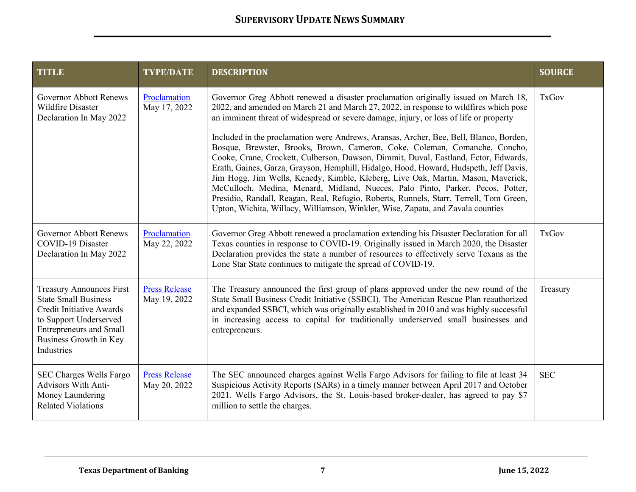| <b>TITLE</b>                                                                                                                                                                                          | <b>TYPE/DATE</b>                     | <b>DESCRIPTION</b>                                                                                                                                                                                                                                                                                                                                                                                                                                                                                                                                                                                                                                                                                                                                                                                                                                                                                                                                                                | <b>SOURCE</b> |
|-------------------------------------------------------------------------------------------------------------------------------------------------------------------------------------------------------|--------------------------------------|-----------------------------------------------------------------------------------------------------------------------------------------------------------------------------------------------------------------------------------------------------------------------------------------------------------------------------------------------------------------------------------------------------------------------------------------------------------------------------------------------------------------------------------------------------------------------------------------------------------------------------------------------------------------------------------------------------------------------------------------------------------------------------------------------------------------------------------------------------------------------------------------------------------------------------------------------------------------------------------|---------------|
| <b>Governor Abbott Renews</b><br>Wildfire Disaster<br>Declaration In May 2022                                                                                                                         | Proclamation<br>May 17, 2022         | Governor Greg Abbott renewed a disaster proclamation originally issued on March 18,<br>2022, and amended on March 21 and March 27, 2022, in response to wildfires which pose<br>an imminent threat of widespread or severe damage, injury, or loss of life or property<br>Included in the proclamation were Andrews, Aransas, Archer, Bee, Bell, Blanco, Borden,<br>Bosque, Brewster, Brooks, Brown, Cameron, Coke, Coleman, Comanche, Concho,<br>Cooke, Crane, Crockett, Culberson, Dawson, Dimmit, Duval, Eastland, Ector, Edwards,<br>Erath, Gaines, Garza, Grayson, Hemphill, Hidalgo, Hood, Howard, Hudspeth, Jeff Davis,<br>Jim Hogg, Jim Wells, Kenedy, Kimble, Kleberg, Live Oak, Martin, Mason, Maverick,<br>McCulloch, Medina, Menard, Midland, Nueces, Palo Pinto, Parker, Pecos, Potter,<br>Presidio, Randall, Reagan, Real, Refugio, Roberts, Runnels, Starr, Terrell, Tom Green,<br>Upton, Wichita, Willacy, Williamson, Winkler, Wise, Zapata, and Zavala counties | <b>TxGov</b>  |
| <b>Governor Abbott Renews</b><br>COVID-19 Disaster<br>Declaration In May 2022                                                                                                                         | Proclamation<br>May 22, 2022         | Governor Greg Abbott renewed a proclamation extending his Disaster Declaration for all<br>Texas counties in response to COVID-19. Originally issued in March 2020, the Disaster<br>Declaration provides the state a number of resources to effectively serve Texans as the<br>Lone Star State continues to mitigate the spread of COVID-19.                                                                                                                                                                                                                                                                                                                                                                                                                                                                                                                                                                                                                                       | <b>TxGov</b>  |
| <b>Treasury Announces First</b><br><b>State Small Business</b><br><b>Credit Initiative Awards</b><br>to Support Underserved<br><b>Entrepreneurs and Small</b><br>Business Growth in Key<br>Industries | <b>Press Release</b><br>May 19, 2022 | The Treasury announced the first group of plans approved under the new round of the<br>State Small Business Credit Initiative (SSBCI). The American Rescue Plan reauthorized<br>and expanded SSBCI, which was originally established in 2010 and was highly successful<br>in increasing access to capital for traditionally underserved small businesses and<br>entrepreneurs.                                                                                                                                                                                                                                                                                                                                                                                                                                                                                                                                                                                                    | Treasury      |
| SEC Charges Wells Fargo<br>Advisors With Anti-<br>Money Laundering<br><b>Related Violations</b>                                                                                                       | <b>Press Release</b><br>May 20, 2022 | The SEC announced charges against Wells Fargo Advisors for failing to file at least 34<br>Suspicious Activity Reports (SARs) in a timely manner between April 2017 and October<br>2021. Wells Fargo Advisors, the St. Louis-based broker-dealer, has agreed to pay \$7<br>million to settle the charges.                                                                                                                                                                                                                                                                                                                                                                                                                                                                                                                                                                                                                                                                          | <b>SEC</b>    |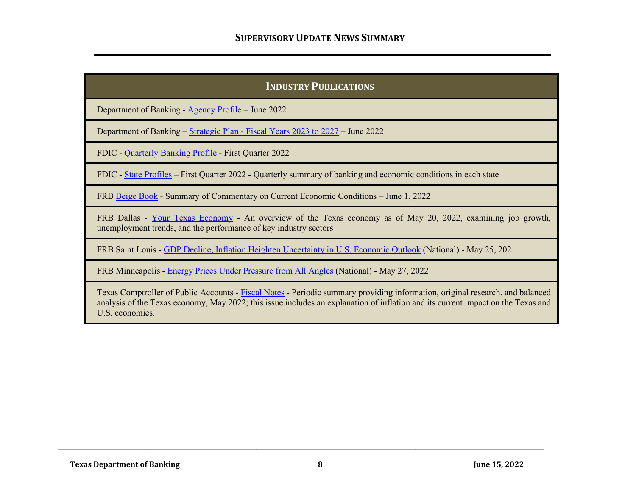## **INDUSTRY PUBLICATIONS**

Department of Banking - [Agency Profile](https://www.dob.texas.gov/sites/default/files/files/Applications-Forms-Publications/Publications/agyprofile.pdf) – June 2022

Department of Banking – **Strategic Plan - Fiscal Years 2023 to 2027** – June 2022

FDIC - [Quarterly Banking Profile](https://www.fdic.gov/analysis/quarterly-banking-profile/qbp/2022mar/qbp.pdf#page=1) - First Quarter 2022

FDIC - [State Profiles](https://www.fdic.gov/analysis/state-profiles/?source=govdelivery&utm_medium=email&utm_source=govdelivery) - First Quarter 2022 - Quarterly summary of banking and economic conditions in each state

FRB [Beige Book](https://www.federalreserve.gov/monetarypolicy/files/BeigeBook_20220601.pdf) - Summary of Commentary on Current Economic Conditions – June 1, 2022

FRB Dallas - [Your Texas Economy](https://www.dallasfed.org/-/media/Documents/research/econdata/texaseconomy.pdf?la=en) - An overview of the Texas economy as of May 20, 2022, examining job growth, unemployment trends, and the performance of key industry sectors

FRB Saint Louis - [GDP Decline, Inflation Heighten Uncertainty in U.S. Economic Outlook](https://www.stlouisfed.org/publications/regional-economist/2022/may/gdp-decline-inflation-heighten-uncertainty-us-economic-outlook) (National) - May 25, 202

FRB Minneapolis - [Energy Prices Under Pressure from All Angles](https://www.minneapolisfed.org/article/2022/energy-prices-under-pressure-from-all-angles) (National) - May 27, 2022

Texas Comptroller of Public Accounts - [Fiscal Notes](https://comptroller.texas.gov/economy/fiscal-notes/2022/may/inflation.php) - Periodic summary providing information, original research, and balanced analysis of the Texas economy, May 2022; this issue includes an explanation of inflation and its current impact on the Texas and U.S. economies.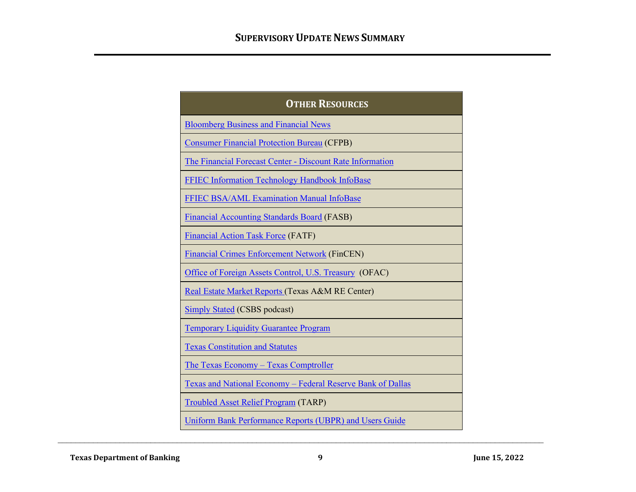| <b>OTHER RESOURCES</b>                                                    |
|---------------------------------------------------------------------------|
| <b>Bloomberg Business and Financial News</b>                              |
| <b>Consumer Financial Protection Bureau (CFPB)</b>                        |
| The Financial Forecast Center - Discount Rate Information                 |
| <b>FFIEC Information Technology Handbook InfoBase</b>                     |
| FFIEC BSA/AML Examination Manual InfoBase                                 |
| <b>Financial Accounting Standards Board (FASB)</b>                        |
| <b>Financial Action Task Force (FATF)</b>                                 |
| <b>Financial Crimes Enforcement Network (FinCEN)</b>                      |
| Office of Foreign Assets Control, U.S. Treasury (OFAC)                    |
| Real Estate Market Reports (Texas A&M RE Center)                          |
| <b>Simply Stated (CSBS podcast)</b>                                       |
| <b>Temporary Liquidity Guarantee Program</b>                              |
| <b>Texas Constitution and Statutes</b>                                    |
| <u>The Texas Economy – Texas Comptroller</u>                              |
| <u><b>Texas and National Economy – Federal Reserve Bank of Dallas</b></u> |
| <b>Troubled Asset Relief Program (TARP)</b>                               |
| Uniform Bank Performance Reports (UBPR) and Users Guide                   |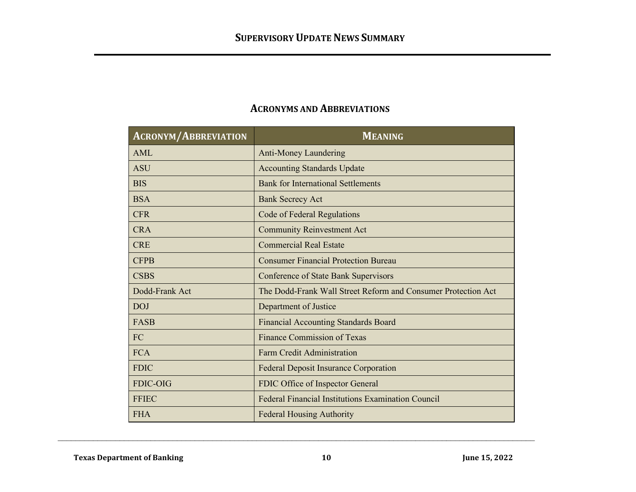| <b>ACRONYM/ABBREVIATION</b> | <b>MEANING</b>                                                |
|-----------------------------|---------------------------------------------------------------|
| <b>AML</b>                  | <b>Anti-Money Laundering</b>                                  |
| <b>ASU</b>                  | <b>Accounting Standards Update</b>                            |
| <b>BIS</b>                  | <b>Bank for International Settlements</b>                     |
| <b>BSA</b>                  | <b>Bank Secrecy Act</b>                                       |
| <b>CFR</b>                  | Code of Federal Regulations                                   |
| <b>CRA</b>                  | <b>Community Reinvestment Act</b>                             |
| <b>CRE</b>                  | <b>Commercial Real Estate</b>                                 |
| <b>CFPB</b>                 | <b>Consumer Financial Protection Bureau</b>                   |
| <b>CSBS</b>                 | <b>Conference of State Bank Supervisors</b>                   |
| Dodd-Frank Act              | The Dodd-Frank Wall Street Reform and Consumer Protection Act |
| <b>DOJ</b>                  | Department of Justice                                         |
| <b>FASB</b>                 | <b>Financial Accounting Standards Board</b>                   |
| <b>FC</b>                   | Finance Commission of Texas                                   |
| <b>FCA</b>                  | <b>Farm Credit Administration</b>                             |
| <b>FDIC</b>                 | <b>Federal Deposit Insurance Corporation</b>                  |
| <b>FDIC-OIG</b>             | FDIC Office of Inspector General                              |
| <b>FFIEC</b>                | <b>Federal Financial Institutions Examination Council</b>     |
| <b>FHA</b>                  | <b>Federal Housing Authority</b>                              |

## **ACRONYMS AND ABBREVIATIONS**